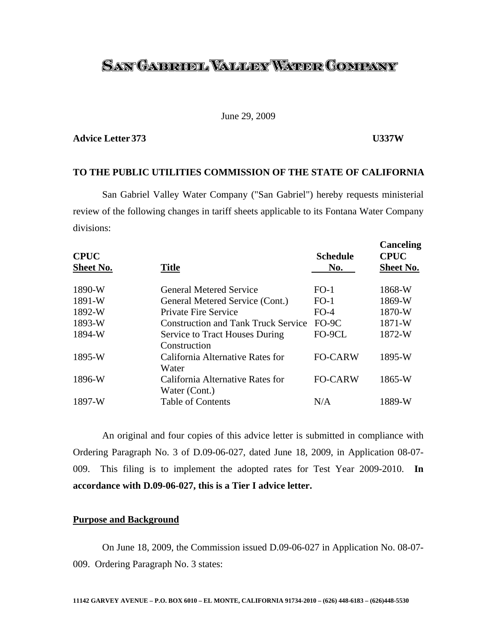# <u>SAN GABRUEL VALLERY WATER COMPANY</u>

# June 29, 2009

# **Advice Letter 373 U337W**

### **TO THE PUBLIC UTILITIES COMMISSION OF THE STATE OF CALIFORNIA**

 San Gabriel Valley Water Company ("San Gabriel") hereby requests ministerial review of the following changes in tariff sheets applicable to its Fontana Water Company divisions:

| <b>CPUC</b>      | <b>Title</b>                                          | <b>Schedule</b><br>No. | Canceling<br><b>CPUC</b><br><b>Sheet No.</b> |
|------------------|-------------------------------------------------------|------------------------|----------------------------------------------|
| <b>Sheet No.</b> |                                                       |                        |                                              |
| 1890-W           | <b>General Metered Service</b>                        | $FO-1$                 | 1868-W                                       |
| 1891-W           | General Metered Service (Cont.)                       | $FO-1$                 | 1869-W                                       |
| 1892-W           | <b>Private Fire Service</b>                           | $FO-4$                 | 1870-W                                       |
| 1893-W           | <b>Construction and Tank Truck Service</b>            | FO-9C                  | 1871-W                                       |
| 1894-W           | <b>Service to Tract Houses During</b><br>Construction | FO-9CL                 | 1872-W                                       |
| 1895-W           | California Alternative Rates for<br>Water             | <b>FO-CARW</b>         | 1895-W                                       |
| 1896-W           | California Alternative Rates for<br>Water (Cont.)     | <b>FO-CARW</b>         | 1865-W                                       |
| 1897-W           | <b>Table of Contents</b>                              | N/A                    | 1889-W                                       |

 An original and four copies of this advice letter is submitted in compliance with Ordering Paragraph No. 3 of D.09-06-027, dated June 18, 2009, in Application 08-07- 009. This filing is to implement the adopted rates for Test Year 2009-2010. **In accordance with D.09-06-027, this is a Tier I advice letter.**

## **Purpose and Background**

 On June 18, 2009, the Commission issued D.09-06-027 in Application No. 08-07- 009. Ordering Paragraph No. 3 states: